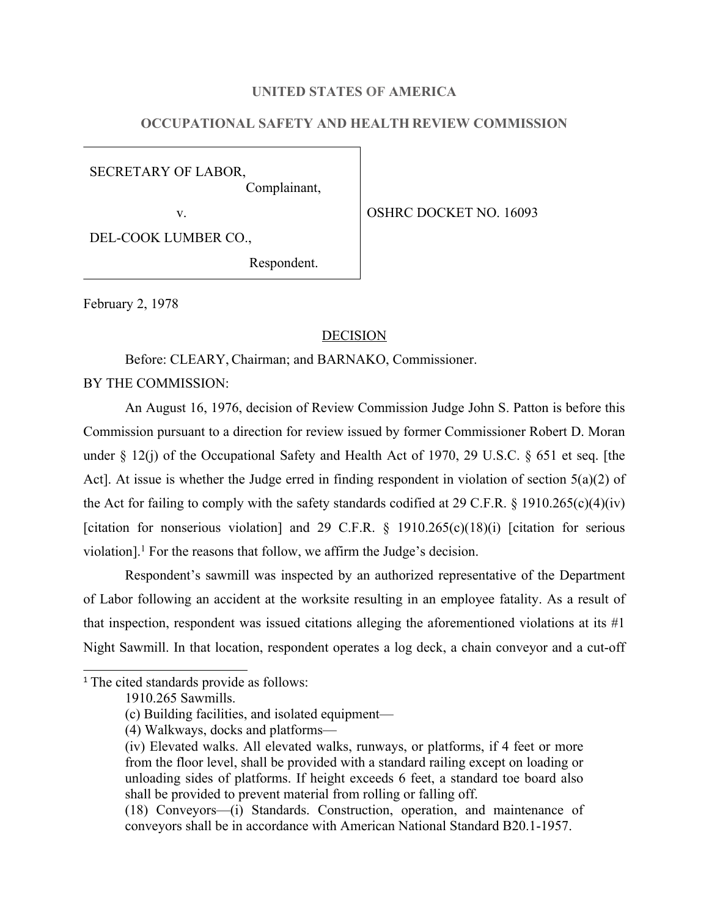### **UNITED STATES OF AMERICA**

# **OCCUPATIONAL SAFETY AND HEALTH REVIEW COMMISSION**

SECRETARY OF LABOR, Complainant,

v. SOUTH OSHRC DOCKET NO. 16093

DEL-COOK LUMBER CO.,

Respondent.

February 2, 1978

#### **DECISION**

Before: CLEARY, Chairman; and BARNAKO, Commissioner.

BY THE COMMISSION:

An August 16, 1976, decision of Review Commission Judge John S. Patton is before this Commission pursuant to a direction for review issued by former Commissioner Robert D. Moran under § 12(j) of the Occupational Safety and Health Act of 1970, 29 U.S.C. § 651 et seq. [the Act]. At issue is whether the Judge erred in finding respondent in violation of section 5(a)(2) of the Act for failing to comply with the safety standards codified at 29 C.F.R.  $\S$  1910.265(c)(4)(iv) [citation for nonserious violation] and 29 C.F.R.  $\S$  1910.265(c)(18)(i) [citation for serious violation].<sup>1</sup> For the reasons that follow, we affirm the Judge's decision.

Respondent's sawmill was inspected by an authorized representative of the Department of Labor following an accident at the worksite resulting in an employee fatality. As a result of that inspection, respondent was issued citations alleging the aforementioned violations at its #1 Night Sawmill. In that location, respondent operates a log deck, a chain conveyor and a cut-off

<sup>&</sup>lt;sup>1</sup> The cited standards provide as follows:

<sup>1910.265</sup> Sawmills.

<sup>(</sup>c) Building facilities, and isolated equipment—

<sup>(4)</sup> Walkways, docks and platforms—

<sup>(</sup>iv) Elevated walks. All elevated walks, runways, or platforms, if 4 feet or more from the floor level, shall be provided with a standard railing except on loading or unloading sides of platforms. If height exceeds 6 feet, a standard toe board also shall be provided to prevent material from rolling or falling off.

<sup>(18)</sup> Conveyors—(i) Standards. Construction, operation, and maintenance of conveyors shall be in accordance with American National Standard B20.1-1957.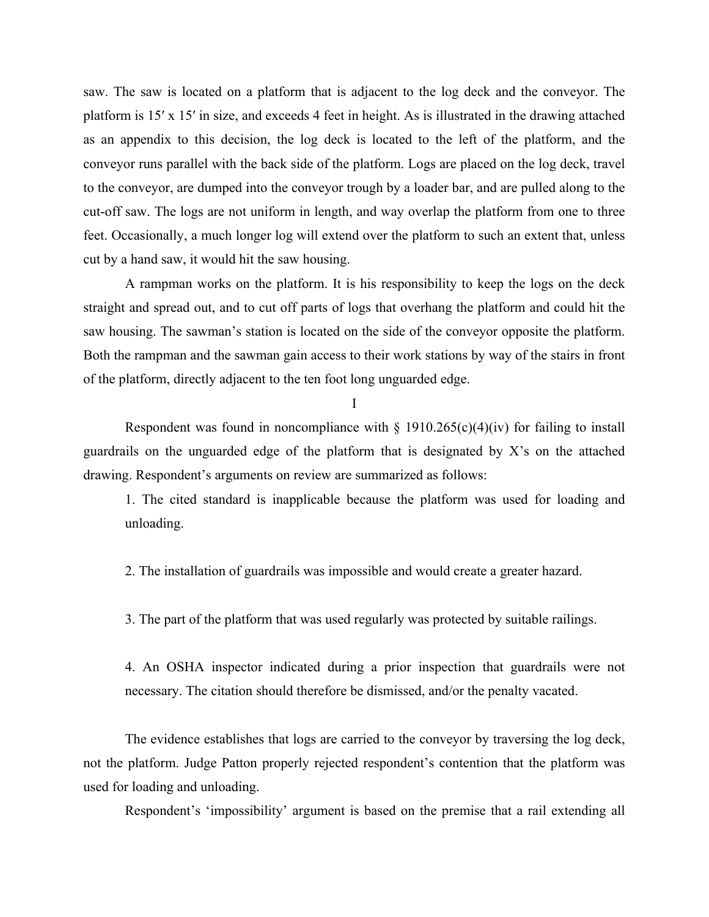saw. The saw is located on a platform that is adjacent to the log deck and the conveyor. The platform is 15′ x 15′ in size, and exceeds 4 feet in height. As is illustrated in the drawing attached as an appendix to this decision, the log deck is located to the left of the platform, and the conveyor runs parallel with the back side of the platform. Logs are placed on the log deck, travel to the conveyor, are dumped into the conveyor trough by a loader bar, and are pulled along to the cut-off saw. The logs are not uniform in length, and way overlap the platform from one to three feet. Occasionally, a much longer log will extend over the platform to such an extent that, unless cut by a hand saw, it would hit the saw housing.

A rampman works on the platform. It is his responsibility to keep the logs on the deck straight and spread out, and to cut off parts of logs that overhang the platform and could hit the saw housing. The sawman's station is located on the side of the conveyor opposite the platform. Both the rampman and the sawman gain access to their work stations by way of the stairs in front of the platform, directly adjacent to the ten foot long unguarded edge.

#### I

Respondent was found in noncompliance with  $\S$  1910.265(c)(4)(iv) for failing to install guardrails on the unguarded edge of the platform that is designated by X's on the attached drawing. Respondent's arguments on review are summarized as follows:

1. The cited standard is inapplicable because the platform was used for loading and unloading.

2. The installation of guardrails was impossible and would create a greater hazard.

3. The part of the platform that was used regularly was protected by suitable railings.

4. An OSHA inspector indicated during a prior inspection that guardrails were not necessary. The citation should therefore be dismissed, and/or the penalty vacated.

The evidence establishes that logs are carried to the conveyor by traversing the log deck, not the platform. Judge Patton properly rejected respondent's contention that the platform was used for loading and unloading.

Respondent's 'impossibility' argument is based on the premise that a rail extending all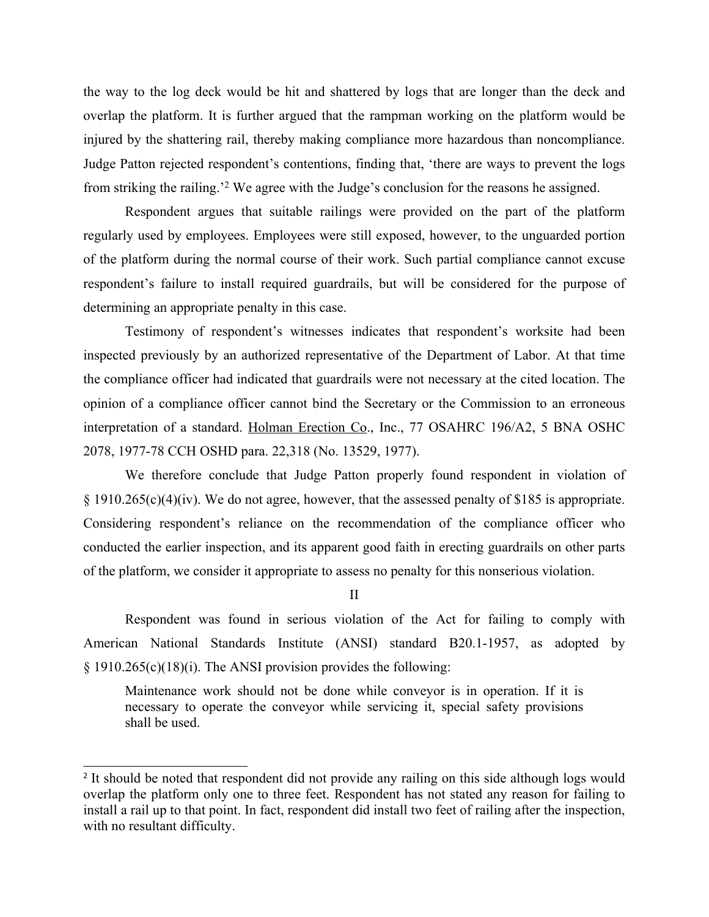the way to the log deck would be hit and shattered by logs that are longer than the deck and overlap the platform. It is further argued that the rampman working on the platform would be injured by the shattering rail, thereby making compliance more hazardous than noncompliance. Judge Patton rejected respondent's contentions, finding that, 'there are ways to prevent the logs from striking the railing.'<sup>2</sup> We agree with the Judge's conclusion for the reasons he assigned.

Respondent argues that suitable railings were provided on the part of the platform regularly used by employees. Employees were still exposed, however, to the unguarded portion of the platform during the normal course of their work. Such partial compliance cannot excuse respondent's failure to install required guardrails, but will be considered for the purpose of determining an appropriate penalty in this case.

Testimony of respondent's witnesses indicates that respondent's worksite had been inspected previously by an authorized representative of the Department of Labor. At that time the compliance officer had indicated that guardrails were not necessary at the cited location. The opinion of a compliance officer cannot bind the Secretary or the Commission to an erroneous interpretation of a standard. Holman Erection Co., Inc., 77 OSAHRC 196/A2, 5 BNA OSHC 2078, 1977-78 CCH OSHD para. 22,318 (No. 13529, 1977).

We therefore conclude that Judge Patton properly found respondent in violation of § 1910.265(c)(4)(iv). We do not agree, however, that the assessed penalty of \$185 is appropriate. Considering respondent's reliance on the recommendation of the compliance officer who conducted the earlier inspection, and its apparent good faith in erecting guardrails on other parts of the platform, we consider it appropriate to assess no penalty for this nonserious violation.

II

Respondent was found in serious violation of the Act for failing to comply with American National Standards Institute (ANSI) standard B20.1-1957, as adopted by § 1910.265(c)(18)(i). The ANSI provision provides the following:

Maintenance work should not be done while conveyor is in operation. If it is necessary to operate the conveyor while servicing it, special safety provisions shall be used.

<sup>&</sup>lt;sup>2</sup> It should be noted that respondent did not provide any railing on this side although logs would overlap the platform only one to three feet. Respondent has not stated any reason for failing to install a rail up to that point. In fact, respondent did install two feet of railing after the inspection, with no resultant difficulty.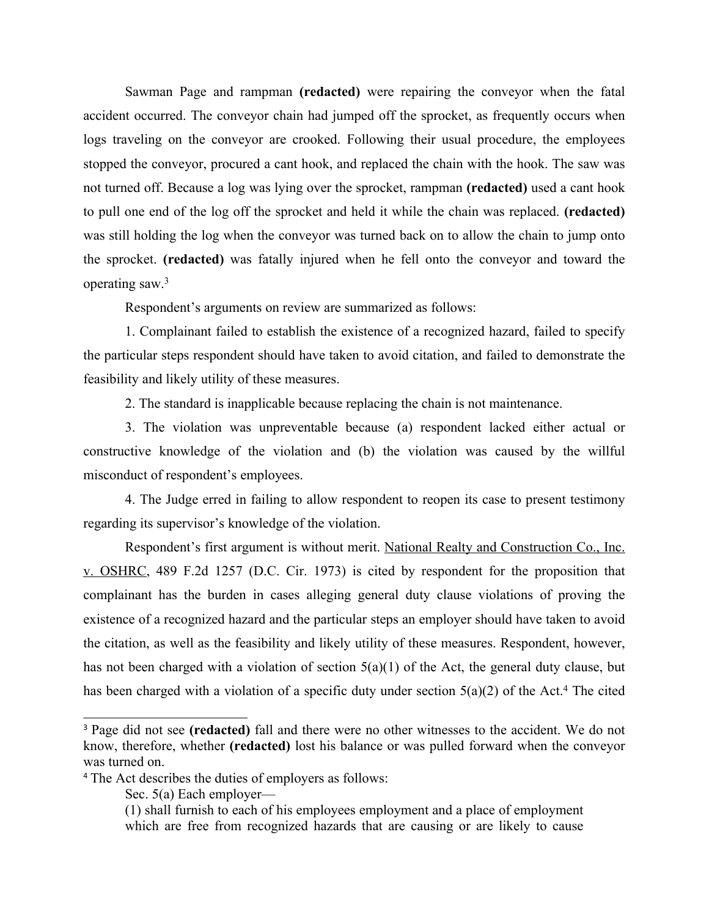Sawman Page and rampman **(redacted)** were repairing the conveyor when the fatal accident occurred. The conveyor chain had jumped off the sprocket, as frequently occurs when logs traveling on the conveyor are crooked. Following their usual procedure, the employees stopped the conveyor, procured a cant hook, and replaced the chain with the hook. The saw was not turned off. Because a log was lying over the sprocket, rampman **(redacted)** used a cant hook to pull one end of the log off the sprocket and held it while the chain was replaced. **(redacted)** was still holding the log when the conveyor was turned back on to allow the chain to jump onto the sprocket. **(redacted)** was fatally injured when he fell onto the conveyor and toward the operating saw.<sup>3</sup>

Respondent's arguments on review are summarized as follows:

1. Complainant failed to establish the existence of a recognized hazard, failed to specify the particular steps respondent should have taken to avoid citation, and failed to demonstrate the feasibility and likely utility of these measures.

2. The standard is inapplicable because replacing the chain is not maintenance.

3. The violation was unpreventable because (a) respondent lacked either actual or constructive knowledge of the violation and (b) the violation was caused by the willful misconduct of respondent's employees.

4. The Judge erred in failing to allow respondent to reopen its case to present testimony regarding its supervisor's knowledge of the violation.

Respondent's first argument is without merit. National Realty and Construction Co., Inc. v. OSHRC, 489 F.2d 1257 (D.C. Cir. 1973) is cited by respondent for the proposition that complainant has the burden in cases alleging general duty clause violations of proving the existence of a recognized hazard and the particular steps an employer should have taken to avoid the citation, as well as the feasibility and likely utility of these measures. Respondent, however, has not been charged with a violation of section 5(a)(1) of the Act, the general duty clause, but has been charged with a violation of a specific duty under section  $5(a)(2)$  of the Act.<sup>4</sup> The cited

<sup>3</sup> Page did not see **(redacted)** fall and there were no other witnesses to the accident. We do not know, therefore, whether **(redacted)** lost his balance or was pulled forward when the conveyor was turned on.

<sup>4</sup> The Act describes the duties of employers as follows:

Sec. 5(a) Each employer—

<sup>(1)</sup> shall furnish to each of his employees employment and a place of employment which are free from recognized hazards that are causing or are likely to cause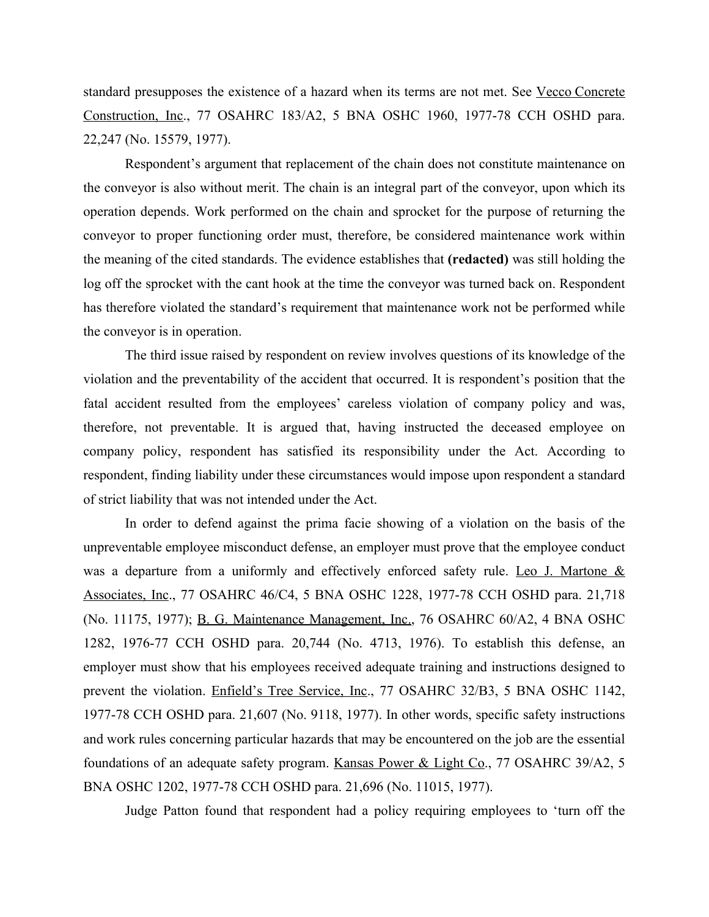standard presupposes the existence of a hazard when its terms are not met. See Vecco Concrete Construction, Inc., 77 OSAHRC 183/A2, 5 BNA OSHC 1960, 1977-78 CCH OSHD para. 22,247 (No. 15579, 1977).

Respondent's argument that replacement of the chain does not constitute maintenance on the conveyor is also without merit. The chain is an integral part of the conveyor, upon which its operation depends. Work performed on the chain and sprocket for the purpose of returning the conveyor to proper functioning order must, therefore, be considered maintenance work within the meaning of the cited standards. The evidence establishes that **(redacted)** was still holding the log off the sprocket with the cant hook at the time the conveyor was turned back on. Respondent has therefore violated the standard's requirement that maintenance work not be performed while the conveyor is in operation.

The third issue raised by respondent on review involves questions of its knowledge of the violation and the preventability of the accident that occurred. It is respondent's position that the fatal accident resulted from the employees' careless violation of company policy and was, therefore, not preventable. It is argued that, having instructed the deceased employee on company policy, respondent has satisfied its responsibility under the Act. According to respondent, finding liability under these circumstances would impose upon respondent a standard of strict liability that was not intended under the Act.

In order to defend against the prima facie showing of a violation on the basis of the unpreventable employee misconduct defense, an employer must prove that the employee conduct was a departure from a uniformly and effectively enforced safety rule. Leo J. Martone & Associates, Inc., 77 OSAHRC 46/C4, 5 BNA OSHC 1228, 1977-78 CCH OSHD para. 21,718 (No. 11175, 1977); B. G. Maintenance Management, Inc., 76 OSAHRC 60/A2, 4 BNA OSHC 1282, 1976-77 CCH OSHD para. 20,744 (No. 4713, 1976). To establish this defense, an employer must show that his employees received adequate training and instructions designed to prevent the violation. Enfield's Tree Service, Inc., 77 OSAHRC 32/B3, 5 BNA OSHC 1142, 1977-78 CCH OSHD para. 21,607 (No. 9118, 1977). In other words, specific safety instructions and work rules concerning particular hazards that may be encountered on the job are the essential foundations of an adequate safety program. Kansas Power & Light Co., 77 OSAHRC 39/A2, 5 BNA OSHC 1202, 1977-78 CCH OSHD para. 21,696 (No. 11015, 1977).

Judge Patton found that respondent had a policy requiring employees to 'turn off the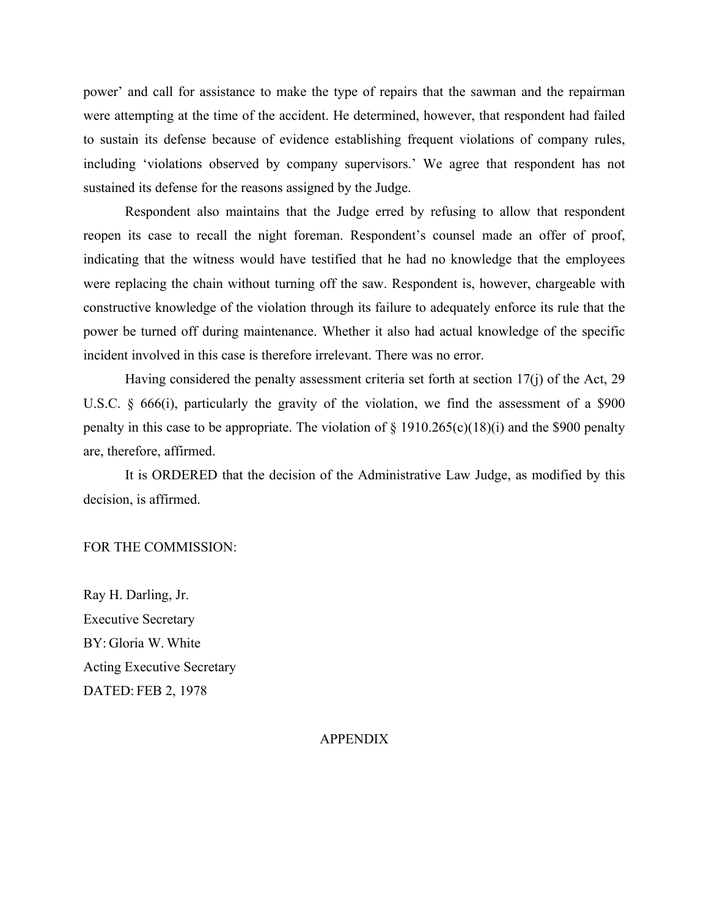power' and call for assistance to make the type of repairs that the sawman and the repairman were attempting at the time of the accident. He determined, however, that respondent had failed to sustain its defense because of evidence establishing frequent violations of company rules, including 'violations observed by company supervisors.' We agree that respondent has not sustained its defense for the reasons assigned by the Judge.

Respondent also maintains that the Judge erred by refusing to allow that respondent reopen its case to recall the night foreman. Respondent's counsel made an offer of proof, indicating that the witness would have testified that he had no knowledge that the employees were replacing the chain without turning off the saw. Respondent is, however, chargeable with constructive knowledge of the violation through its failure to adequately enforce its rule that the power be turned off during maintenance. Whether it also had actual knowledge of the specific incident involved in this case is therefore irrelevant. There was no error.

Having considered the penalty assessment criteria set forth at section 17(j) of the Act, 29 U.S.C. § 666(i), particularly the gravity of the violation, we find the assessment of a \$900 penalty in this case to be appropriate. The violation of  $\S$  1910.265(c)(18)(i) and the \$900 penalty are, therefore, affirmed.

It is ORDERED that the decision of the Administrative Law Judge, as modified by this decision, is affirmed.

### FOR THE COMMISSION:

Ray H. Darling, Jr. Executive Secretary BY: Gloria W. White Acting Executive Secretary DATED: FEB 2, 1978

### APPENDIX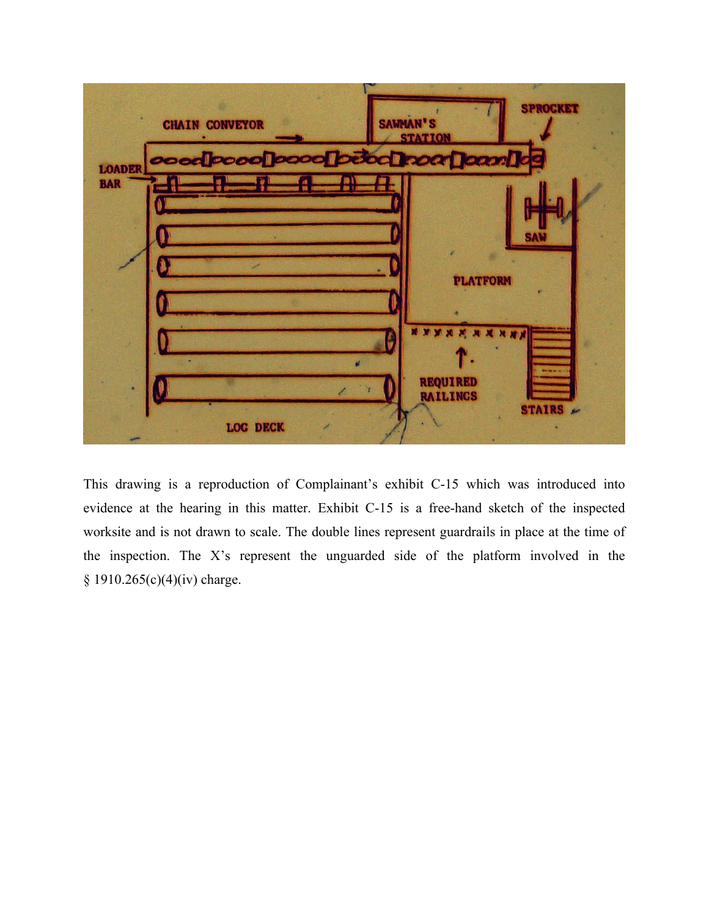

This drawing is a reproduction of Complainant's exhibit C-15 which was introduced into evidence at the hearing in this matter. Exhibit C-15 is a free-hand sketch of the inspected worksite and is not drawn to scale. The double lines represent guardrails in place at the time of the inspection. The X's represent the unguarded side of the platform involved in the § 1910.265(c)(4)(iv) charge.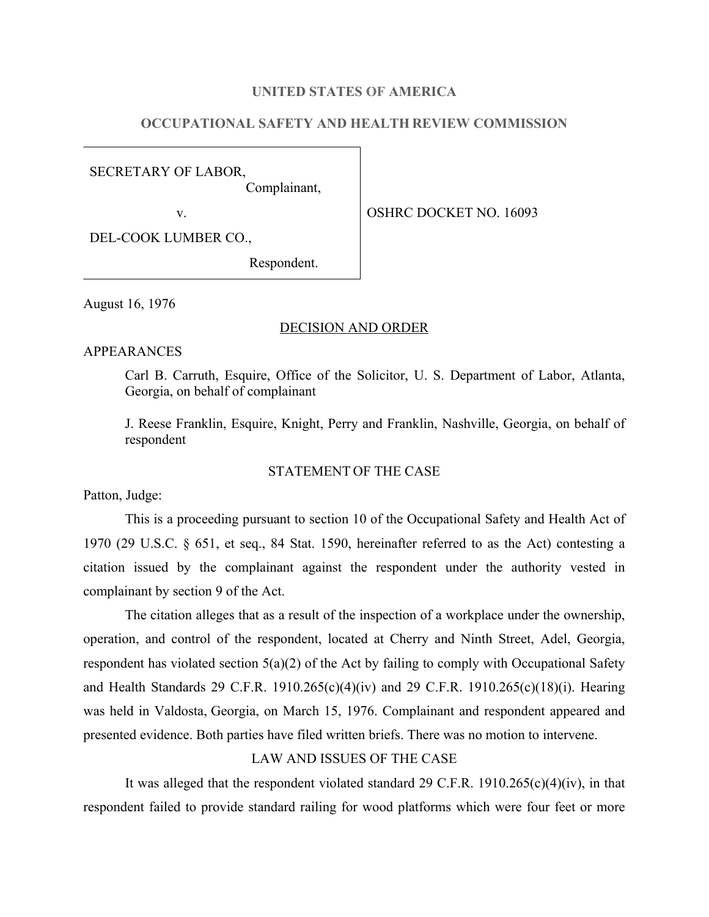### **UNITED STATES OF AMERICA**

# **OCCUPATIONAL SAFETY AND HEALTH REVIEW COMMISSION**

SECRETARY OF LABOR,

Complainant,

v. SOUTH OSHRC DOCKET NO. 16093

DEL-COOK LUMBER CO.,

Respondent.

August 16, 1976

### DECISION AND ORDER

#### APPEARANCES

Carl B. Carruth, Esquire, Office of the Solicitor, U. S. Department of Labor, Atlanta, Georgia, on behalf of complainant

J. Reese Franklin, Esquire, Knight, Perry and Franklin, Nashville, Georgia, on behalf of respondent

## STATEMENT OF THE CASE

Patton, Judge:

This is a proceeding pursuant to section 10 of the Occupational Safety and Health Act of 1970 (29 U.S.C. § 651, et seq., 84 Stat. 1590, hereinafter referred to as the Act) contesting a citation issued by the complainant against the respondent under the authority vested in complainant by section 9 of the Act.

The citation alleges that as a result of the inspection of a workplace under the ownership, operation, and control of the respondent, located at Cherry and Ninth Street, Adel, Georgia, respondent has violated section  $5(a)(2)$  of the Act by failing to comply with Occupational Safety and Health Standards 29 C.F.R. 1910.265(c)(4)(iv) and 29 C.F.R. 1910.265(c)(18)(i). Hearing was held in Valdosta, Georgia, on March 15, 1976. Complainant and respondent appeared and presented evidence. Both parties have filed written briefs. There was no motion to intervene.

### LAW AND ISSUES OF THE CASE

It was alleged that the respondent violated standard 29 C.F.R.  $1910.265(c)(4)(iv)$ , in that respondent failed to provide standard railing for wood platforms which were four feet or more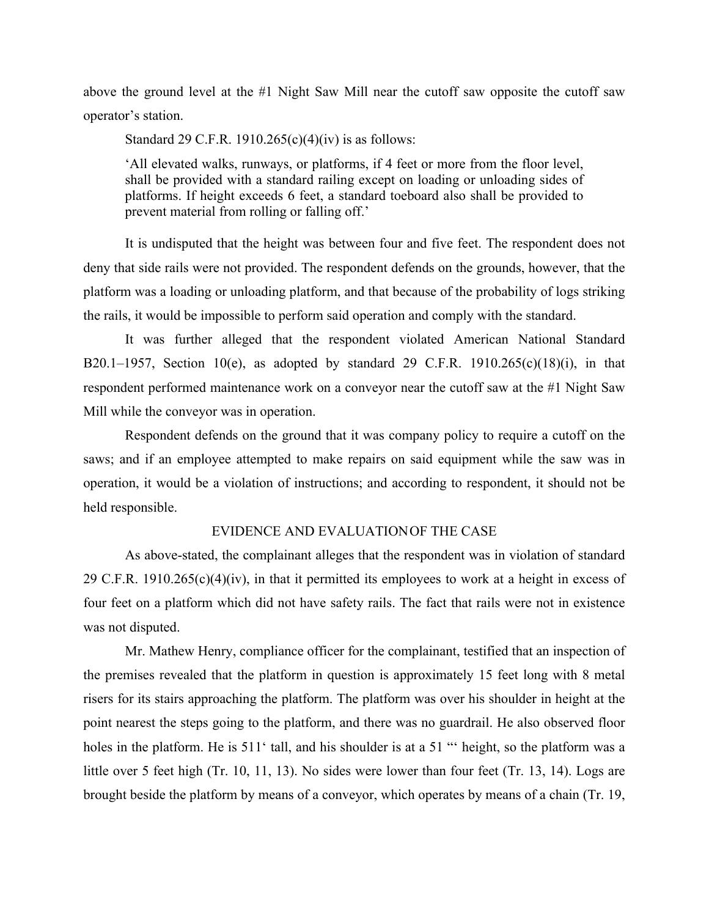above the ground level at the #1 Night Saw Mill near the cutoff saw opposite the cutoff saw operator's station.

Standard 29 C.F.R. 1910.265 $(c)(4)(iv)$  is as follows:

'All elevated walks, runways, or platforms, if 4 feet or more from the floor level, shall be provided with a standard railing except on loading or unloading sides of platforms. If height exceeds 6 feet, a standard toeboard also shall be provided to prevent material from rolling or falling off.'

It is undisputed that the height was between four and five feet. The respondent does not deny that side rails were not provided. The respondent defends on the grounds, however, that the platform was a loading or unloading platform, and that because of the probability of logs striking the rails, it would be impossible to perform said operation and comply with the standard.

It was further alleged that the respondent violated American National Standard B20.1–1957, Section 10(e), as adopted by standard 29 C.F.R. 1910.265(c)(18)(i), in that respondent performed maintenance work on a conveyor near the cutoff saw at the #1 Night Saw Mill while the conveyor was in operation.

Respondent defends on the ground that it was company policy to require a cutoff on the saws; and if an employee attempted to make repairs on said equipment while the saw was in operation, it would be a violation of instructions; and according to respondent, it should not be held responsible.

## EVIDENCE AND EVALUATIONOF THE CASE

As above-stated, the complainant alleges that the respondent was in violation of standard 29 C.F.R. 1910.265(c)(4)(iv), in that it permitted its employees to work at a height in excess of four feet on a platform which did not have safety rails. The fact that rails were not in existence was not disputed.

Mr. Mathew Henry, compliance officer for the complainant, testified that an inspection of the premises revealed that the platform in question is approximately 15 feet long with 8 metal risers for its stairs approaching the platform. The platform was over his shoulder in height at the point nearest the steps going to the platform, and there was no guardrail. He also observed floor holes in the platform. He is 511<sup>t</sup> tall, and his shoulder is at a 51 "' height, so the platform was a little over 5 feet high (Tr. 10, 11, 13). No sides were lower than four feet (Tr. 13, 14). Logs are brought beside the platform by means of a conveyor, which operates by means of a chain (Tr. 19,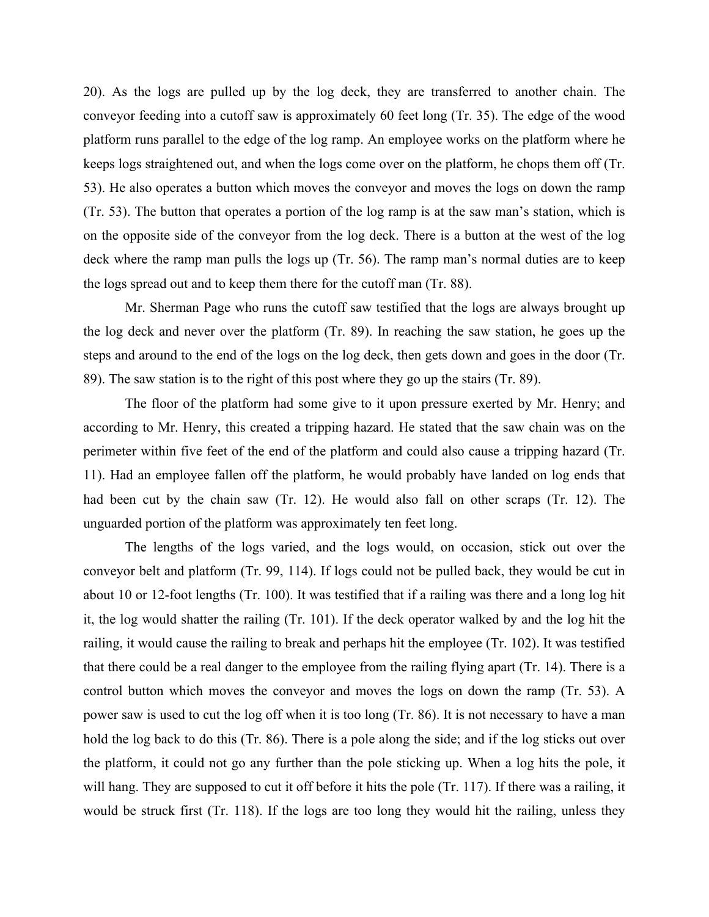20). As the logs are pulled up by the log deck, they are transferred to another chain. The conveyor feeding into a cutoff saw is approximately 60 feet long (Tr. 35). The edge of the wood platform runs parallel to the edge of the log ramp. An employee works on the platform where he keeps logs straightened out, and when the logs come over on the platform, he chops them off (Tr. 53). He also operates a button which moves the conveyor and moves the logs on down the ramp (Tr. 53). The button that operates a portion of the log ramp is at the saw man's station, which is on the opposite side of the conveyor from the log deck. There is a button at the west of the log deck where the ramp man pulls the logs up (Tr. 56). The ramp man's normal duties are to keep the logs spread out and to keep them there for the cutoff man (Tr. 88).

Mr. Sherman Page who runs the cutoff saw testified that the logs are always brought up the log deck and never over the platform (Tr. 89). In reaching the saw station, he goes up the steps and around to the end of the logs on the log deck, then gets down and goes in the door (Tr. 89). The saw station is to the right of this post where they go up the stairs (Tr. 89).

The floor of the platform had some give to it upon pressure exerted by Mr. Henry; and according to Mr. Henry, this created a tripping hazard. He stated that the saw chain was on the perimeter within five feet of the end of the platform and could also cause a tripping hazard (Tr. 11). Had an employee fallen off the platform, he would probably have landed on log ends that had been cut by the chain saw (Tr. 12). He would also fall on other scraps (Tr. 12). The unguarded portion of the platform was approximately ten feet long.

The lengths of the logs varied, and the logs would, on occasion, stick out over the conveyor belt and platform (Tr. 99, 114). If logs could not be pulled back, they would be cut in about 10 or 12-foot lengths (Tr. 100). It was testified that if a railing was there and a long log hit it, the log would shatter the railing (Tr. 101). If the deck operator walked by and the log hit the railing, it would cause the railing to break and perhaps hit the employee (Tr. 102). It was testified that there could be a real danger to the employee from the railing flying apart (Tr. 14). There is a control button which moves the conveyor and moves the logs on down the ramp (Tr. 53). A power saw is used to cut the log off when it is too long (Tr. 86). It is not necessary to have a man hold the log back to do this (Tr. 86). There is a pole along the side; and if the log sticks out over the platform, it could not go any further than the pole sticking up. When a log hits the pole, it will hang. They are supposed to cut it off before it hits the pole (Tr. 117). If there was a railing, it would be struck first (Tr. 118). If the logs are too long they would hit the railing, unless they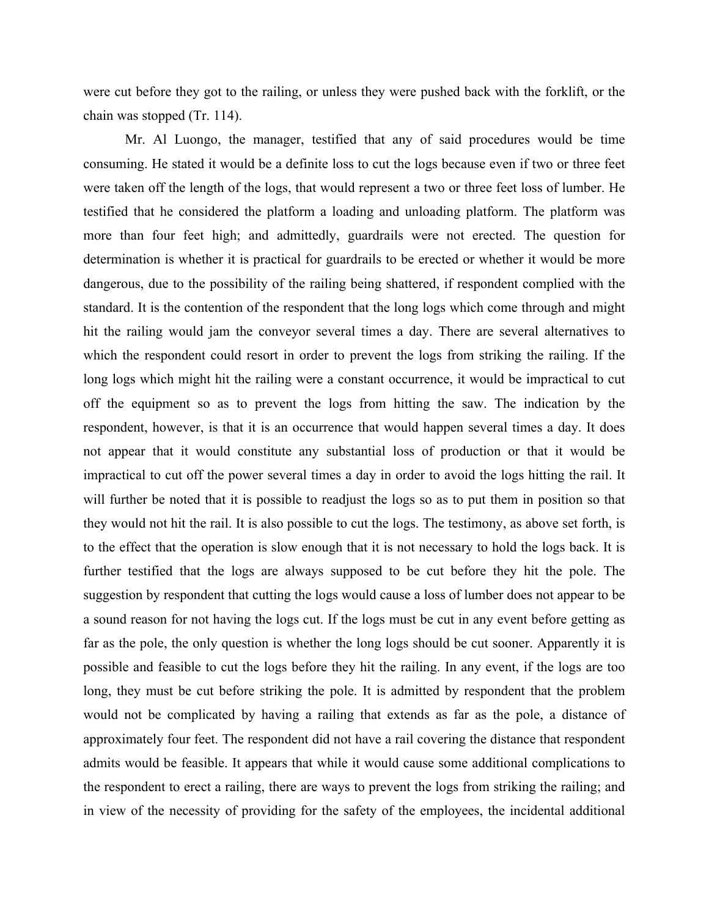were cut before they got to the railing, or unless they were pushed back with the forklift, or the chain was stopped (Tr. 114).

Mr. Al Luongo, the manager, testified that any of said procedures would be time consuming. He stated it would be a definite loss to cut the logs because even if two or three feet were taken off the length of the logs, that would represent a two or three feet loss of lumber. He testified that he considered the platform a loading and unloading platform. The platform was more than four feet high; and admittedly, guardrails were not erected. The question for determination is whether it is practical for guardrails to be erected or whether it would be more dangerous, due to the possibility of the railing being shattered, if respondent complied with the standard. It is the contention of the respondent that the long logs which come through and might hit the railing would jam the conveyor several times a day. There are several alternatives to which the respondent could resort in order to prevent the logs from striking the railing. If the long logs which might hit the railing were a constant occurrence, it would be impractical to cut off the equipment so as to prevent the logs from hitting the saw. The indication by the respondent, however, is that it is an occurrence that would happen several times a day. It does not appear that it would constitute any substantial loss of production or that it would be impractical to cut off the power several times a day in order to avoid the logs hitting the rail. It will further be noted that it is possible to readjust the logs so as to put them in position so that they would not hit the rail. It is also possible to cut the logs. The testimony, as above set forth, is to the effect that the operation is slow enough that it is not necessary to hold the logs back. It is further testified that the logs are always supposed to be cut before they hit the pole. The suggestion by respondent that cutting the logs would cause a loss of lumber does not appear to be a sound reason for not having the logs cut. If the logs must be cut in any event before getting as far as the pole, the only question is whether the long logs should be cut sooner. Apparently it is possible and feasible to cut the logs before they hit the railing. In any event, if the logs are too long, they must be cut before striking the pole. It is admitted by respondent that the problem would not be complicated by having a railing that extends as far as the pole, a distance of approximately four feet. The respondent did not have a rail covering the distance that respondent admits would be feasible. It appears that while it would cause some additional complications to the respondent to erect a railing, there are ways to prevent the logs from striking the railing; and in view of the necessity of providing for the safety of the employees, the incidental additional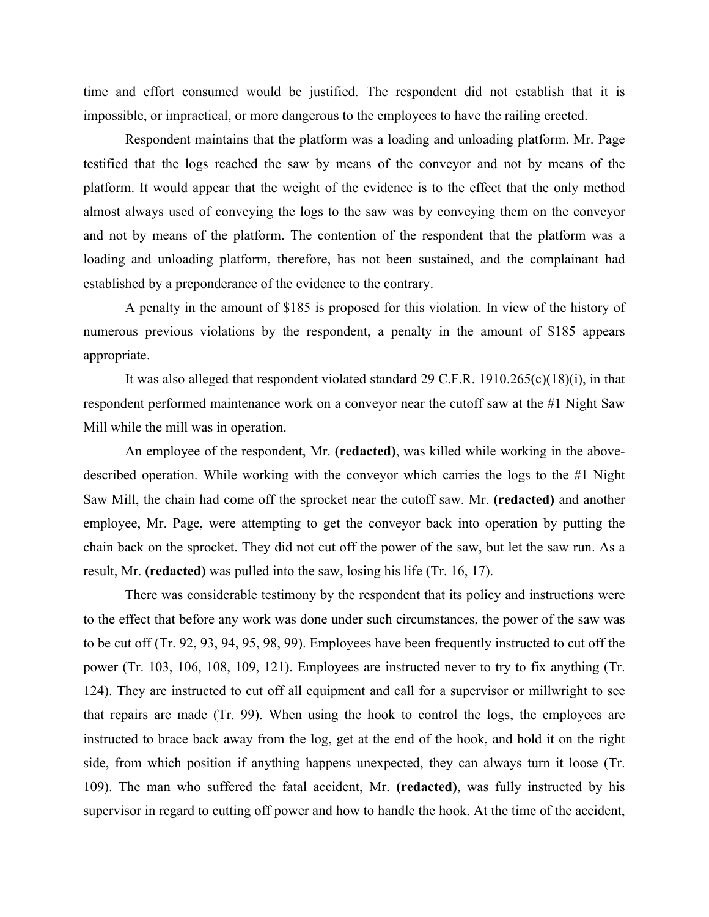time and effort consumed would be justified. The respondent did not establish that it is impossible, or impractical, or more dangerous to the employees to have the railing erected.

Respondent maintains that the platform was a loading and unloading platform. Mr. Page testified that the logs reached the saw by means of the conveyor and not by means of the platform. It would appear that the weight of the evidence is to the effect that the only method almost always used of conveying the logs to the saw was by conveying them on the conveyor and not by means of the platform. The contention of the respondent that the platform was a loading and unloading platform, therefore, has not been sustained, and the complainant had established by a preponderance of the evidence to the contrary.

A penalty in the amount of \$185 is proposed for this violation. In view of the history of numerous previous violations by the respondent, a penalty in the amount of \$185 appears appropriate.

It was also alleged that respondent violated standard 29 C.F.R. 1910.265(c)(18)(i), in that respondent performed maintenance work on a conveyor near the cutoff saw at the #1 Night Saw Mill while the mill was in operation.

An employee of the respondent, Mr. **(redacted)**, was killed while working in the abovedescribed operation. While working with the conveyor which carries the logs to the #1 Night Saw Mill, the chain had come off the sprocket near the cutoff saw. Mr. **(redacted)** and another employee, Mr. Page, were attempting to get the conveyor back into operation by putting the chain back on the sprocket. They did not cut off the power of the saw, but let the saw run. As a result, Mr. **(redacted)** was pulled into the saw, losing his life (Tr. 16, 17).

There was considerable testimony by the respondent that its policy and instructions were to the effect that before any work was done under such circumstances, the power of the saw was to be cut off (Tr. 92, 93, 94, 95, 98, 99). Employees have been frequently instructed to cut off the power (Tr. 103, 106, 108, 109, 121). Employees are instructed never to try to fix anything (Tr. 124). They are instructed to cut off all equipment and call for a supervisor or millwright to see that repairs are made (Tr. 99). When using the hook to control the logs, the employees are instructed to brace back away from the log, get at the end of the hook, and hold it on the right side, from which position if anything happens unexpected, they can always turn it loose (Tr. 109). The man who suffered the fatal accident, Mr. **(redacted)**, was fully instructed by his supervisor in regard to cutting off power and how to handle the hook. At the time of the accident,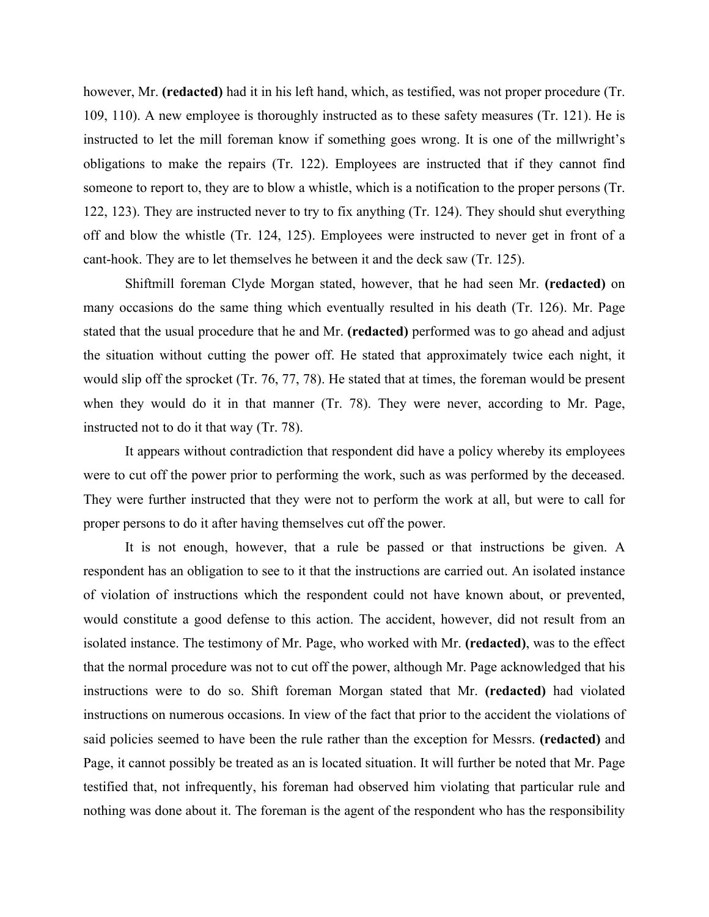however, Mr. **(redacted)** had it in his left hand, which, as testified, was not proper procedure (Tr. 109, 110). A new employee is thoroughly instructed as to these safety measures (Tr. 121). He is instructed to let the mill foreman know if something goes wrong. It is one of the millwright's obligations to make the repairs (Tr. 122). Employees are instructed that if they cannot find someone to report to, they are to blow a whistle, which is a notification to the proper persons (Tr. 122, 123). They are instructed never to try to fix anything (Tr. 124). They should shut everything off and blow the whistle (Tr. 124, 125). Employees were instructed to never get in front of a cant-hook. They are to let themselves he between it and the deck saw (Tr. 125).

Shiftmill foreman Clyde Morgan stated, however, that he had seen Mr. **(redacted)** on many occasions do the same thing which eventually resulted in his death (Tr. 126). Mr. Page stated that the usual procedure that he and Mr. **(redacted)** performed was to go ahead and adjust the situation without cutting the power off. He stated that approximately twice each night, it would slip off the sprocket (Tr. 76, 77, 78). He stated that at times, the foreman would be present when they would do it in that manner (Tr. 78). They were never, according to Mr. Page, instructed not to do it that way (Tr. 78).

It appears without contradiction that respondent did have a policy whereby its employees were to cut off the power prior to performing the work, such as was performed by the deceased. They were further instructed that they were not to perform the work at all, but were to call for proper persons to do it after having themselves cut off the power.

It is not enough, however, that a rule be passed or that instructions be given. A respondent has an obligation to see to it that the instructions are carried out. An isolated instance of violation of instructions which the respondent could not have known about, or prevented, would constitute a good defense to this action. The accident, however, did not result from an isolated instance. The testimony of Mr. Page, who worked with Mr. **(redacted)**, was to the effect that the normal procedure was not to cut off the power, although Mr. Page acknowledged that his instructions were to do so. Shift foreman Morgan stated that Mr. **(redacted)** had violated instructions on numerous occasions. In view of the fact that prior to the accident the violations of said policies seemed to have been the rule rather than the exception for Messrs. **(redacted)** and Page, it cannot possibly be treated as an is located situation. It will further be noted that Mr. Page testified that, not infrequently, his foreman had observed him violating that particular rule and nothing was done about it. The foreman is the agent of the respondent who has the responsibility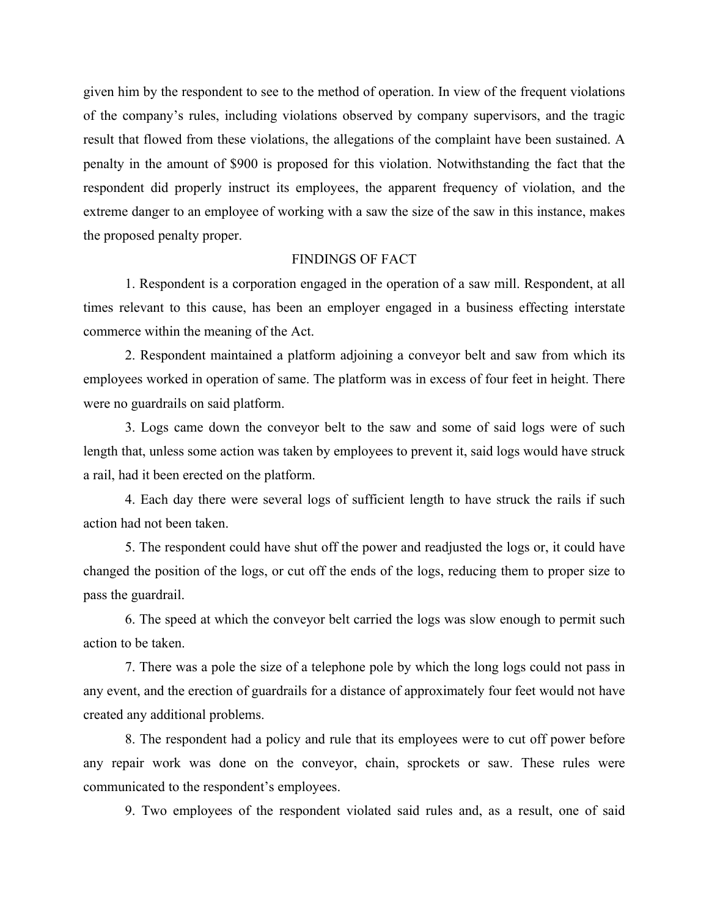given him by the respondent to see to the method of operation. In view of the frequent violations of the company's rules, including violations observed by company supervisors, and the tragic result that flowed from these violations, the allegations of the complaint have been sustained. A penalty in the amount of \$900 is proposed for this violation. Notwithstanding the fact that the respondent did properly instruct its employees, the apparent frequency of violation, and the extreme danger to an employee of working with a saw the size of the saw in this instance, makes the proposed penalty proper.

#### FINDINGS OF FACT

1. Respondent is a corporation engaged in the operation of a saw mill. Respondent, at all times relevant to this cause, has been an employer engaged in a business effecting interstate commerce within the meaning of the Act.

2. Respondent maintained a platform adjoining a conveyor belt and saw from which its employees worked in operation of same. The platform was in excess of four feet in height. There were no guardrails on said platform.

3. Logs came down the conveyor belt to the saw and some of said logs were of such length that, unless some action was taken by employees to prevent it, said logs would have struck a rail, had it been erected on the platform.

4. Each day there were several logs of sufficient length to have struck the rails if such action had not been taken.

5. The respondent could have shut off the power and readjusted the logs or, it could have changed the position of the logs, or cut off the ends of the logs, reducing them to proper size to pass the guardrail.

6. The speed at which the conveyor belt carried the logs was slow enough to permit such action to be taken.

7. There was a pole the size of a telephone pole by which the long logs could not pass in any event, and the erection of guardrails for a distance of approximately four feet would not have created any additional problems.

8. The respondent had a policy and rule that its employees were to cut off power before any repair work was done on the conveyor, chain, sprockets or saw. These rules were communicated to the respondent's employees.

9. Two employees of the respondent violated said rules and, as a result, one of said